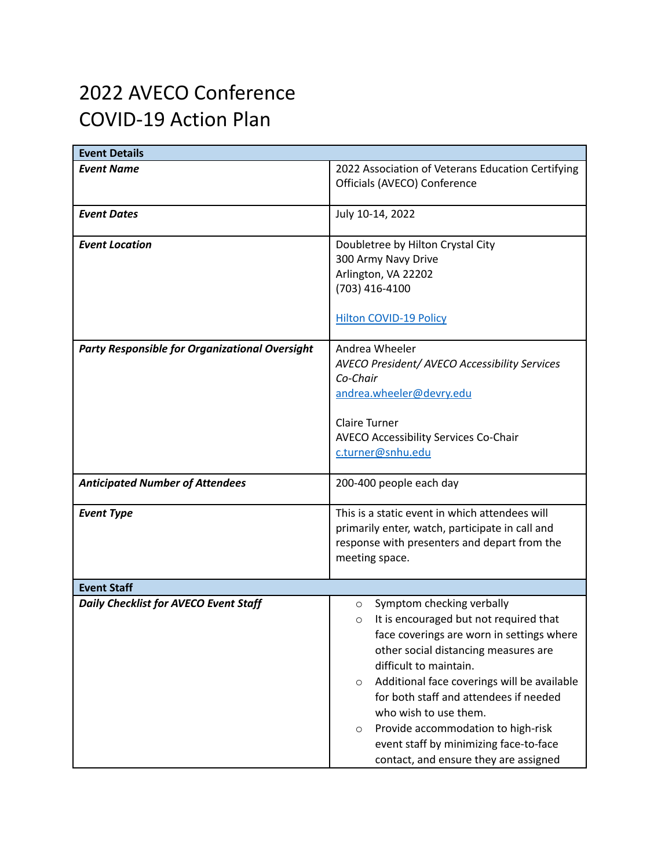## 2022 AVECO Conference COVID-19 Action Plan

| <b>Event Details</b>                                  |                                                        |
|-------------------------------------------------------|--------------------------------------------------------|
| <b>Event Name</b>                                     | 2022 Association of Veterans Education Certifying      |
|                                                       | Officials (AVECO) Conference                           |
| <b>Event Dates</b>                                    | July 10-14, 2022                                       |
|                                                       |                                                        |
| <b>Event Location</b>                                 | Doubletree by Hilton Crystal City                      |
|                                                       | 300 Army Navy Drive                                    |
|                                                       | Arlington, VA 22202                                    |
|                                                       | (703) 416-4100                                         |
|                                                       | Hilton COVID-19 Policy                                 |
|                                                       |                                                        |
| <b>Party Responsible for Organizational Oversight</b> | Andrea Wheeler                                         |
|                                                       | <b>AVECO President/ AVECO Accessibility Services</b>   |
|                                                       | Co-Chair                                               |
|                                                       | andrea.wheeler@devry.edu                               |
|                                                       |                                                        |
|                                                       | <b>Claire Turner</b>                                   |
|                                                       | <b>AVECO Accessibility Services Co-Chair</b>           |
|                                                       | c.turner@snhu.edu                                      |
| <b>Anticipated Number of Attendees</b>                | 200-400 people each day                                |
|                                                       |                                                        |
| <b>Event Type</b>                                     | This is a static event in which attendees will         |
|                                                       | primarily enter, watch, participate in call and        |
|                                                       | response with presenters and depart from the           |
|                                                       | meeting space.                                         |
| <b>Event Staff</b>                                    |                                                        |
| <b>Daily Checklist for AVECO Event Staff</b>          | Symptom checking verbally<br>$\circ$                   |
|                                                       | It is encouraged but not required that<br>$\circ$      |
|                                                       | face coverings are worn in settings where              |
|                                                       | other social distancing measures are                   |
|                                                       | difficult to maintain.                                 |
|                                                       | Additional face coverings will be available<br>$\circ$ |
|                                                       | for both staff and attendees if needed                 |
|                                                       | who wish to use them.                                  |
|                                                       | Provide accommodation to high-risk<br>$\circ$          |
|                                                       | event staff by minimizing face-to-face                 |
|                                                       | contact, and ensure they are assigned                  |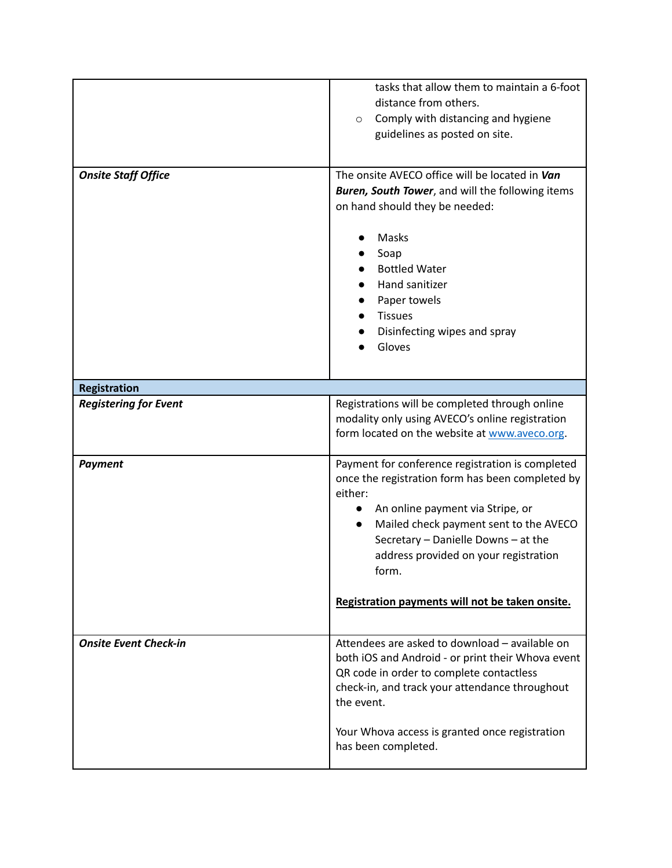|                              | tasks that allow them to maintain a 6-foot<br>distance from others.<br>Comply with distancing and hygiene<br>$\circ$<br>guidelines as posted on site.                                                                                                                                                                                                               |
|------------------------------|---------------------------------------------------------------------------------------------------------------------------------------------------------------------------------------------------------------------------------------------------------------------------------------------------------------------------------------------------------------------|
| <b>Onsite Staff Office</b>   | The onsite AVECO office will be located in Van<br><b>Buren, South Tower</b> , and will the following items<br>on hand should they be needed:                                                                                                                                                                                                                        |
|                              | Masks<br>Soap<br><b>Bottled Water</b><br>Hand sanitizer<br>Paper towels<br><b>Tissues</b><br>Disinfecting wipes and spray<br>Gloves                                                                                                                                                                                                                                 |
| <b>Registration</b>          |                                                                                                                                                                                                                                                                                                                                                                     |
| <b>Registering for Event</b> | Registrations will be completed through online<br>modality only using AVECO's online registration<br>form located on the website at www.aveco.org.                                                                                                                                                                                                                  |
| <b>Payment</b>               | Payment for conference registration is completed<br>once the registration form has been completed by<br>either:<br>An online payment via Stripe, or<br>$\bullet$<br>Mailed check payment sent to the AVECO<br>$\bullet$<br>Secretary - Danielle Downs - at the<br>address provided on your registration<br>form.<br>Registration payments will not be taken onsite. |
| <b>Onsite Event Check-in</b> | Attendees are asked to download - available on<br>both iOS and Android - or print their Whova event<br>QR code in order to complete contactless<br>check-in, and track your attendance throughout<br>the event.<br>Your Whova access is granted once registration<br>has been completed.                                                                            |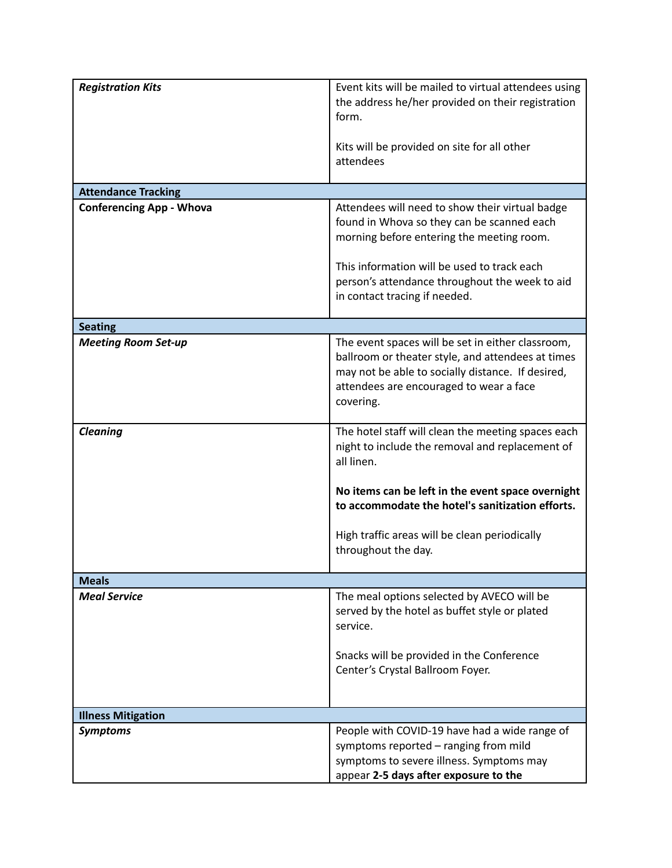| <b>Registration Kits</b>        | Event kits will be mailed to virtual attendees using<br>the address he/her provided on their registration<br>form.<br>Kits will be provided on site for all other                                                   |
|---------------------------------|---------------------------------------------------------------------------------------------------------------------------------------------------------------------------------------------------------------------|
|                                 | attendees                                                                                                                                                                                                           |
| <b>Attendance Tracking</b>      |                                                                                                                                                                                                                     |
| <b>Conferencing App - Whova</b> | Attendees will need to show their virtual badge<br>found in Whova so they can be scanned each<br>morning before entering the meeting room.                                                                          |
|                                 | This information will be used to track each<br>person's attendance throughout the week to aid<br>in contact tracing if needed.                                                                                      |
| <b>Seating</b>                  |                                                                                                                                                                                                                     |
| <b>Meeting Room Set-up</b>      | The event spaces will be set in either classroom,<br>ballroom or theater style, and attendees at times<br>may not be able to socially distance. If desired,<br>attendees are encouraged to wear a face<br>covering. |
| <b>Cleaning</b>                 | The hotel staff will clean the meeting spaces each<br>night to include the removal and replacement of<br>all linen.                                                                                                 |
|                                 | No items can be left in the event space overnight<br>to accommodate the hotel's sanitization efforts.                                                                                                               |
|                                 | High traffic areas will be clean periodically<br>throughout the day.                                                                                                                                                |
| <b>Meals</b>                    |                                                                                                                                                                                                                     |
| <b>Meal Service</b>             | The meal options selected by AVECO will be<br>served by the hotel as buffet style or plated<br>service.                                                                                                             |
|                                 | Snacks will be provided in the Conference<br>Center's Crystal Ballroom Foyer.                                                                                                                                       |
| <b>Illness Mitigation</b>       |                                                                                                                                                                                                                     |
| <b>Symptoms</b>                 | People with COVID-19 have had a wide range of<br>symptoms reported - ranging from mild<br>symptoms to severe illness. Symptoms may<br>appear 2-5 days after exposure to the                                         |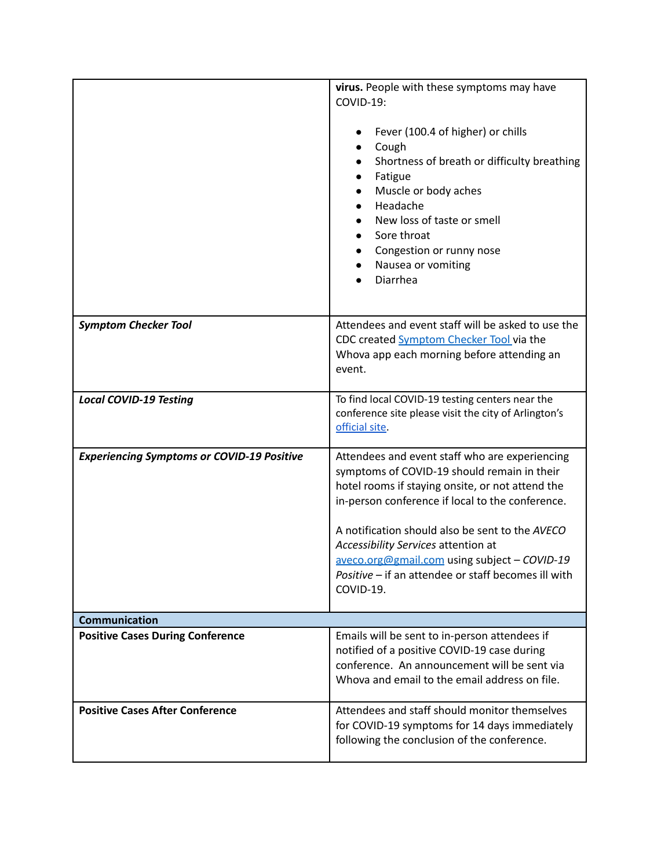|                                                   | virus. People with these symptoms may have<br>COVID-19:<br>Fever (100.4 of higher) or chills<br>Cough<br>Shortness of breath or difficulty breathing<br>Fatigue<br>Muscle or body aches<br>Headache<br>New loss of taste or smell<br>Sore throat<br>Congestion or runny nose<br>Nausea or vomiting<br>Diarrhea                                                                                                      |
|---------------------------------------------------|---------------------------------------------------------------------------------------------------------------------------------------------------------------------------------------------------------------------------------------------------------------------------------------------------------------------------------------------------------------------------------------------------------------------|
| <b>Symptom Checker Tool</b>                       | Attendees and event staff will be asked to use the<br>CDC created Symptom Checker Tool via the<br>Whova app each morning before attending an<br>event.                                                                                                                                                                                                                                                              |
| <b>Local COVID-19 Testing</b>                     | To find local COVID-19 testing centers near the<br>conference site please visit the city of Arlington's<br>official site.                                                                                                                                                                                                                                                                                           |
| <b>Experiencing Symptoms or COVID-19 Positive</b> | Attendees and event staff who are experiencing<br>symptoms of COVID-19 should remain in their<br>hotel rooms if staying onsite, or not attend the<br>in-person conference if local to the conference.<br>A notification should also be sent to the AVECO<br>Accessibility Services attention at<br>aveco.org@gmail.com using subject - COVID-19<br>Positive - if an attendee or staff becomes ill with<br>COVID-19. |
| <b>Communication</b>                              |                                                                                                                                                                                                                                                                                                                                                                                                                     |
| <b>Positive Cases During Conference</b>           | Emails will be sent to in-person attendees if<br>notified of a positive COVID-19 case during<br>conference. An announcement will be sent via<br>Whova and email to the email address on file.                                                                                                                                                                                                                       |
| <b>Positive Cases After Conference</b>            | Attendees and staff should monitor themselves<br>for COVID-19 symptoms for 14 days immediately<br>following the conclusion of the conference.                                                                                                                                                                                                                                                                       |